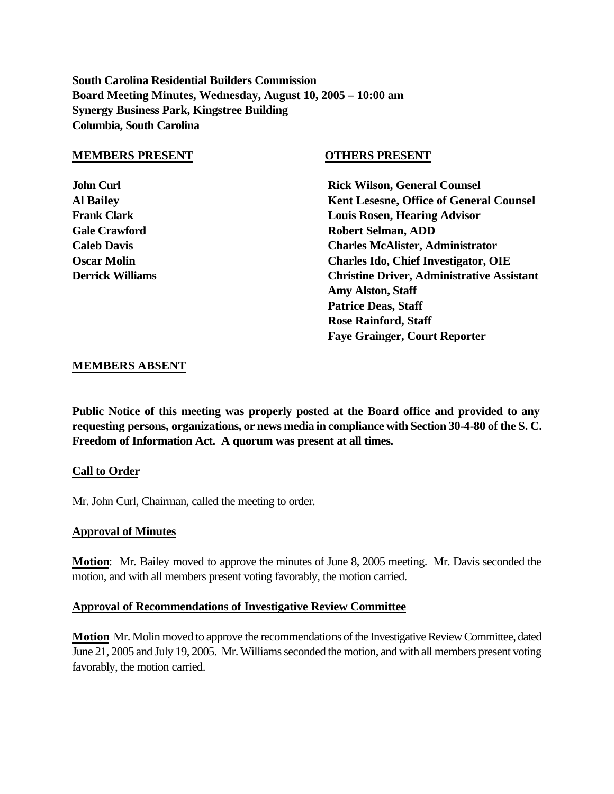**South Carolina Residential Builders Commission Board Meeting Minutes, Wednesday, August 10, 2005 – 10:00 am Synergy Business Park, Kingstree Building Columbia, South Carolina**

#### **MEMBERS PRESENT OTHERS PRESENT**

**John Curl Curl Counsel Counsel Counsel Rick Wilson, General Counsel Al Bailey Kent Lesesne, Office of General Counsel Frank Clark Louis Rosen, Hearing Advisor Gale Crawford Robert Selman, ADD Caleb Davis Charles McAlister, Administrator Oscar Molin Charles Ido, Chief Investigator, OIE Derrick Williams Christine Driver, Administrative Assistant Amy Alston, Staff Patrice Deas, Staff Rose Rainford, Staff Faye Grainger, Court Reporter**

#### **MEMBERS ABSENT**

**Public Notice of this meeting was properly posted at the Board office and provided to any requesting persons, organizations, or news media in compliance with Section 30-4-80 of the S. C. Freedom of Information Act. A quorum was present at all times.**

#### **Call to Order**

Mr. John Curl, Chairman, called the meeting to order.

#### **Approval of Minutes**

**Motion**: Mr. Bailey moved to approve the minutes of June 8, 2005 meeting. Mr. Davis seconded the motion, and with all members present voting favorably, the motion carried.

#### **Approval of Recommendations of Investigative Review Committee**

**Motion** Mr. Molin moved to approve the recommendations of the Investigative Review Committee, dated June 21, 2005 and July 19, 2005. Mr. Williams seconded the motion, and with all members present voting favorably, the motion carried.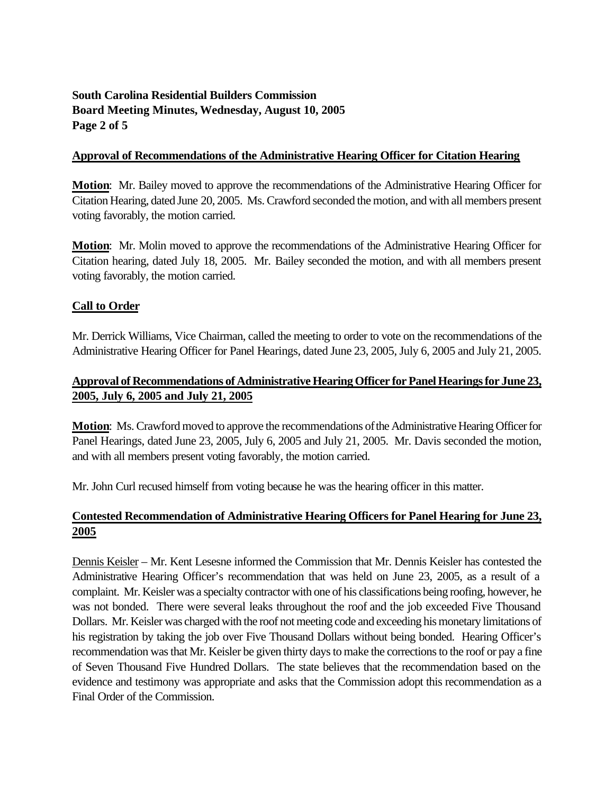# **South Carolina Residential Builders Commission Board Meeting Minutes, Wednesday, August 10, 2005 Page 2 of 5**

#### **Approval of Recommendations of the Administrative Hearing Officer for Citation Hearing**

**Motion**: Mr. Bailey moved to approve the recommendations of the Administrative Hearing Officer for Citation Hearing, dated June 20, 2005. Ms. Crawford seconded the motion, and with all members present voting favorably, the motion carried.

**Motion**: Mr. Molin moved to approve the recommendations of the Administrative Hearing Officer for Citation hearing, dated July 18, 2005. Mr. Bailey seconded the motion, and with all members present voting favorably, the motion carried.

## **Call to Order**

Mr. Derrick Williams, Vice Chairman, called the meeting to order to vote on the recommendations of the Administrative Hearing Officer for Panel Hearings, dated June 23, 2005, July 6, 2005 and July 21, 2005.

## **Approval of Recommendations of Administrative Hearing Officer for Panel Hearings for June 23, 2005, July 6, 2005 and July 21, 2005**

**Motion**: Ms. Crawford moved to approve the recommendations of the Administrative Hearing Officer for Panel Hearings, dated June 23, 2005, July 6, 2005 and July 21, 2005. Mr. Davis seconded the motion, and with all members present voting favorably, the motion carried.

Mr. John Curl recused himself from voting because he was the hearing officer in this matter.

# **Contested Recommendation of Administrative Hearing Officers for Panel Hearing for June 23, 2005**

Dennis Keisler – Mr. Kent Lesesne informed the Commission that Mr. Dennis Keisler has contested the Administrative Hearing Officer's recommendation that was held on June 23, 2005, as a result of a complaint. Mr. Keisler was a specialty contractor with one of his classifications being roofing, however, he was not bonded. There were several leaks throughout the roof and the job exceeded Five Thousand Dollars. Mr. Keisler was charged with the roof not meeting code and exceeding his monetary limitations of his registration by taking the job over Five Thousand Dollars without being bonded. Hearing Officer's recommendation was that Mr. Keisler be given thirty days to make the corrections to the roof or pay a fine of Seven Thousand Five Hundred Dollars. The state believes that the recommendation based on the evidence and testimony was appropriate and asks that the Commission adopt this recommendation as a Final Order of the Commission.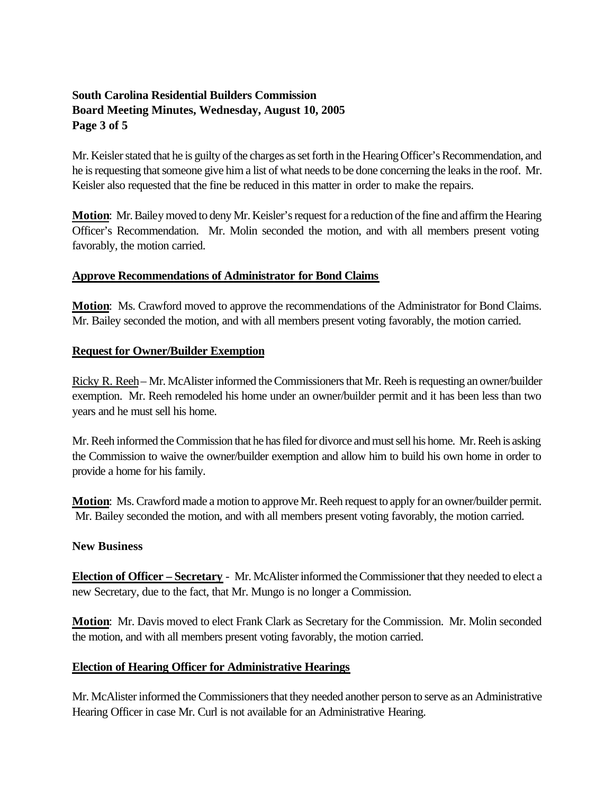# **South Carolina Residential Builders Commission Board Meeting Minutes, Wednesday, August 10, 2005 Page 3 of 5**

Mr. Keisler stated that he is guilty of the charges as set forth in the Hearing Officer's Recommendation, and he is requesting that someone give him a list of what needs to be done concerning the leaks in the roof. Mr. Keisler also requested that the fine be reduced in this matter in order to make the repairs.

**Motion**: Mr. Bailey moved to deny Mr. Keisler's request for a reduction of the fine and affirm the Hearing Officer's Recommendation. Mr. Molin seconded the motion, and with all members present voting favorably, the motion carried.

## **Approve Recommendations of Administrator for Bond Claims**

**Motion**: Ms. Crawford moved to approve the recommendations of the Administrator for Bond Claims. Mr. Bailey seconded the motion, and with all members present voting favorably, the motion carried.

## **Request for Owner/Builder Exemption**

Ricky R. Reeh– Mr. McAlister informed the Commissioners that Mr. Reeh is requesting an owner/builder exemption. Mr. Reeh remodeled his home under an owner/builder permit and it has been less than two years and he must sell his home.

Mr. Reeh informed the Commission that he has filed for divorce and must sell his home. Mr. Reeh is asking the Commission to waive the owner/builder exemption and allow him to build his own home in order to provide a home for his family.

**Motion**: Ms. Crawford made a motion to approve Mr. Reeh request to apply for an owner/builder permit. Mr. Bailey seconded the motion, and with all members present voting favorably, the motion carried.

## **New Business**

**Election of Officer – Secretary** - Mr. McAlister informed the Commissioner that they needed to elect a new Secretary, due to the fact, that Mr. Mungo is no longer a Commission.

**Motion**: Mr. Davis moved to elect Frank Clark as Secretary for the Commission. Mr. Molin seconded the motion, and with all members present voting favorably, the motion carried.

## **Election of Hearing Officer for Administrative Hearings**

Mr. McAlister informed the Commissioners that they needed another person to serve as an Administrative Hearing Officer in case Mr. Curl is not available for an Administrative Hearing.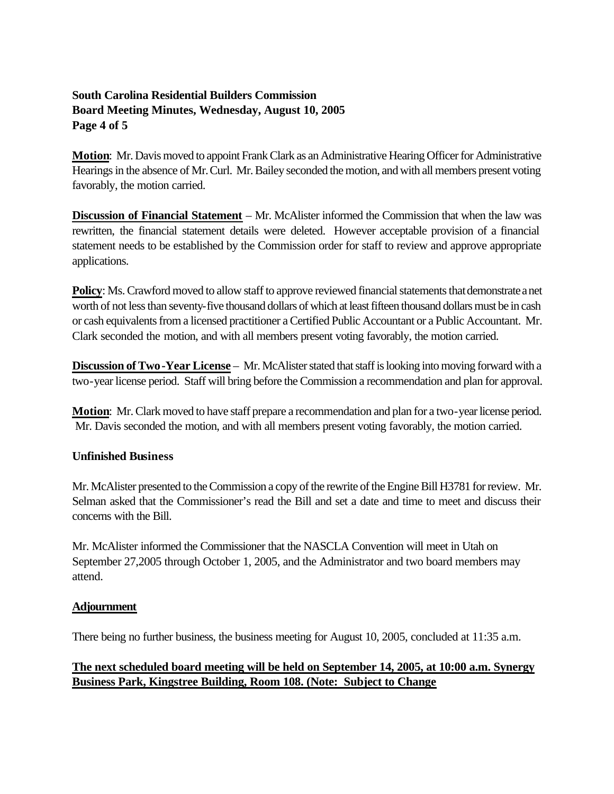# **South Carolina Residential Builders Commission Board Meeting Minutes, Wednesday, August 10, 2005 Page 4 of 5**

**Motion**: Mr. Davis moved to appoint Frank Clark as an Administrative Hearing Officer for Administrative Hearings in the absence of Mr. Curl. Mr. Bailey seconded the motion, and with all members present voting favorably, the motion carried.

**Discussion of Financial Statement** – Mr. McAlister informed the Commission that when the law was rewritten, the financial statement details were deleted. However acceptable provision of a financial statement needs to be established by the Commission order for staff to review and approve appropriate applications.

**Policy**: Ms. Crawford moved to allow staff to approve reviewed financial statements that demonstrate a net worth of not less than seventy-five thousand dollars of which at least fifteen thousand dollars must be in cash or cash equivalents from a licensed practitioner a Certified Public Accountant or a Public Accountant. Mr. Clark seconded the motion, and with all members present voting favorably, the motion carried.

**Discussion of Two-Year License** – Mr. McAlister stated that staff is looking into moving forward with a two-year license period. Staff will bring before the Commission a recommendation and plan for approval.

**Motion**: Mr. Clark moved to have staff prepare a recommendation and plan for a two-year license period. Mr. Davis seconded the motion, and with all members present voting favorably, the motion carried.

## **Unfinished Business**

Mr. McAlister presented to the Commission a copy of the rewrite of the Engine Bill H3781 for review. Mr. Selman asked that the Commissioner's read the Bill and set a date and time to meet and discuss their concerns with the Bill.

Mr. McAlister informed the Commissioner that the NASCLA Convention will meet in Utah on September 27,2005 through October 1, 2005, and the Administrator and two board members may attend.

## **Adjournment**

There being no further business, the business meeting for August 10, 2005, concluded at 11:35 a.m.

# **The next scheduled board meeting will be held on September 14, 2005, at 10:00 a.m. Synergy Business Park, Kingstree Building, Room 108. (Note: Subject to Change**